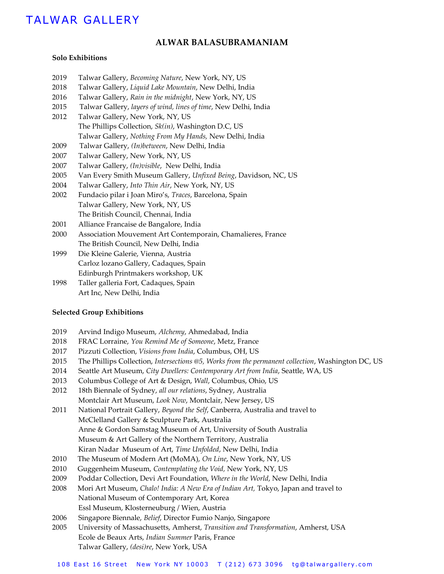# TALWAR GALLERY

## **ALWAR BALASUBRAMANIAM**

#### **Solo Exhibitions**

- 2019 Talwar Gallery, *Becoming Nature*, New York, NY, US
- 2018 Talwar Gallery, *Liquid Lake Mountain*, New Delhi, India
- 2016 Talwar Gallery, *Rain in the midnight*, New York, NY, US
- 2015 Talwar Gallery, *layers of wind, lines of time*, New Delhi, India
- 2012 Talwar Gallery, New York, NY, US The Phillips Collection, *Sk(in)*, Washington D.C, US Talwar Gallery, *Nothing From My Hands,* New Delhi, India
- 2009 Talwar Gallery, *(In)between*, New Delhi, India
- 2007 Talwar Gallery, New York, NY, US
- 2007 Talwar Gallery, *(In)visible*, New Delhi, India
- 2005 Van Every Smith Museum Gallery, *Unfixed Being*, Davidson, NC, US
- 2004 Talwar Gallery, *Into Thin Air*, New York, NY, US
- 2002 Fundacio pilar i Joan Miro's, *Traces*, Barcelona, Spain Talwar Gallery, New York, NY, US The British Council, Chennai, India
- 2001 Alliance Francaise de Bangalore, India
- 2000 Association Mouvement Art Contemporain, Chamalieres, France The British Council, New Delhi, India
- 1999 Die Kleine Galerie, Vienna, Austria Carloz lozano Gallery, Cadaques, Spain Edinburgh Printmakers workshop, UK
- 1998 Taller galleria Fort, Cadaques, Spain Art Inc, New Delhi, India

#### **Selected Group Exhibitions**

- 2019 Arvind Indigo Museum, *Alchemy*, Ahmedabad, India
- 2018 FRAC Lorraine, *You Remind Me of Someone*, Metz, France
- 2017 Pizzuti Collection, *Visions from India*, Columbus, OH, US
- 2015 The Phillips Collection, *Intersections @5, Works from the permanent collection*, Washington DC, US
- 2014 Seattle Art Museum, *City Dwellers: Contemporary Art from India*, Seattle, WA, US
- 2013 Columbus College of Art & Design, *Wall*, Columbus, Ohio, US
- 2012 18th Biennale of Sydney, *all our relations*, Sydney, Australia Montclair Art Museum, *Look Now*, Montclair, New Jersey, US
- 2011 National Portrait Gallery, *Beyond the Self*, Canberra, Australia and travel to McClelland Gallery & Sculpture Park, Australia Anne & Gordon Samstag Museum of Art, University of South Australia Museum & Art Gallery of the Northern Territory, Australia Kiran Nadar Museum of Art, *Time Unfolded*, New Delhi, India
- 2010 The Museum of Modern Art (MoMA), *On Line*, New York, NY, US
- 2010 Guggenheim Museum, *Contemplating the Void,* New York, NY, US
- 2009 Poddar Collection, Devi Art Foundation, *Where in the World*, New Delhi, India
- 2008 Mori Art Museum, *Chalo! India: A New Era of Indian Art,* Tokyo, Japan and travel to National Museum of Contemporary Art, Korea Essl Museum, Klosterneuburg / Wien, Austria
- 2006 Singapore Biennale, *Belief*, Director Fumio Nanjo, Singapore
- 2005 University of Massachusetts, Amherst, *Transition and Transformation*, Amherst, USA Ecole de Beaux Arts, *Indian Summer* Paris, France Talwar Gallery, *(desi)re*, New York, USA